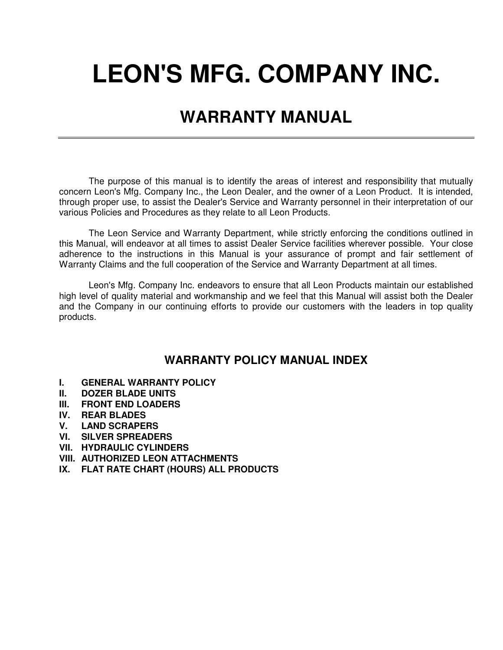# **LEON'S MFG. COMPANY INC.**

## **WARRANTY MANUAL**

 The purpose of this manual is to identify the areas of interest and responsibility that mutually concern Leon's Mfg. Company Inc., the Leon Dealer, and the owner of a Leon Product. It is intended, through proper use, to assist the Dealer's Service and Warranty personnel in their interpretation of our various Policies and Procedures as they relate to all Leon Products.

 The Leon Service and Warranty Department, while strictly enforcing the conditions outlined in this Manual, will endeavor at all times to assist Dealer Service facilities wherever possible. Your close adherence to the instructions in this Manual is your assurance of prompt and fair settlement of Warranty Claims and the full cooperation of the Service and Warranty Department at all times.

 Leon's Mfg. Company Inc. endeavors to ensure that all Leon Products maintain our established high level of quality material and workmanship and we feel that this Manual will assist both the Dealer and the Company in our continuing efforts to provide our customers with the leaders in top quality products.

## **WARRANTY POLICY MANUAL INDEX**

- **I. GENERAL WARRANTY POLICY**
- **II. DOZER BLADE UNITS**
- **III. FRONT END LOADERS**
- **IV. REAR BLADES**
- **V. LAND SCRAPERS**
- **VI. SILVER SPREADERS**
- **VII. HYDRAULIC CYLINDERS**
- **VIII. AUTHORIZED LEON ATTACHMENTS**
- **IX. FLAT RATE CHART (HOURS) ALL PRODUCTS**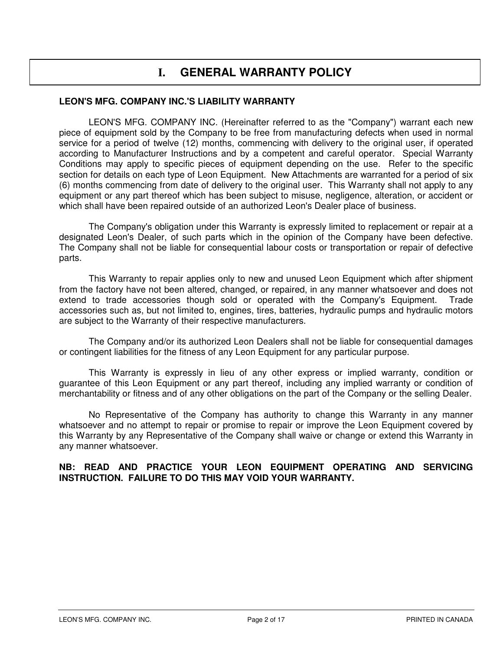## **I. GENERAL WARRANTY POLICY**

#### **LEON'S MFG. COMPANY INC.'S LIABILITY WARRANTY**

 LEON'S MFG. COMPANY INC. (Hereinafter referred to as the "Company") warrant each new piece of equipment sold by the Company to be free from manufacturing defects when used in normal service for a period of twelve (12) months, commencing with delivery to the original user, if operated according to Manufacturer Instructions and by a competent and careful operator. Special Warranty Conditions may apply to specific pieces of equipment depending on the use. Refer to the specific section for details on each type of Leon Equipment. New Attachments are warranted for a period of six (6) months commencing from date of delivery to the original user. This Warranty shall not apply to any equipment or any part thereof which has been subject to misuse, negligence, alteration, or accident or which shall have been repaired outside of an authorized Leon's Dealer place of business.

 The Company's obligation under this Warranty is expressly limited to replacement or repair at a designated Leon's Dealer, of such parts which in the opinion of the Company have been defective. The Company shall not be liable for consequential labour costs or transportation or repair of defective parts.

 This Warranty to repair applies only to new and unused Leon Equipment which after shipment from the factory have not been altered, changed, or repaired, in any manner whatsoever and does not extend to trade accessories though sold or operated with the Company's Equipment. Trade accessories such as, but not limited to, engines, tires, batteries, hydraulic pumps and hydraulic motors are subject to the Warranty of their respective manufacturers.

 The Company and/or its authorized Leon Dealers shall not be liable for consequential damages or contingent liabilities for the fitness of any Leon Equipment for any particular purpose.

 This Warranty is expressly in lieu of any other express or implied warranty, condition or guarantee of this Leon Equipment or any part thereof, including any implied warranty or condition of merchantability or fitness and of any other obligations on the part of the Company or the selling Dealer.

 No Representative of the Company has authority to change this Warranty in any manner whatsoever and no attempt to repair or promise to repair or improve the Leon Equipment covered by this Warranty by any Representative of the Company shall waive or change or extend this Warranty in any manner whatsoever.

#### **NB: READ AND PRACTICE YOUR LEON EQUIPMENT OPERATING AND SERVICING INSTRUCTION. FAILURE TO DO THIS MAY VOID YOUR WARRANTY.**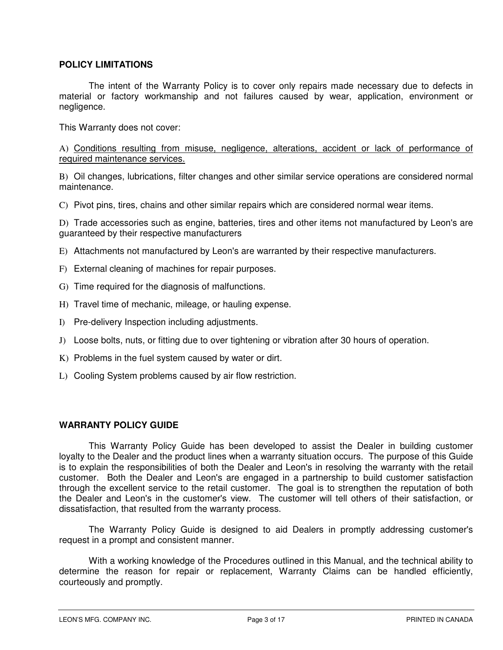#### **POLICY LIMITATIONS**

 The intent of the Warranty Policy is to cover only repairs made necessary due to defects in material or factory workmanship and not failures caused by wear, application, environment or negligence.

This Warranty does not cover:

A) Conditions resulting from misuse, negligence, alterations, accident or lack of performance of required maintenance services.

B) Oil changes, lubrications, filter changes and other similar service operations are considered normal maintenance.

C) Pivot pins, tires, chains and other similar repairs which are considered normal wear items.

D) Trade accessories such as engine, batteries, tires and other items not manufactured by Leon's are guaranteed by their respective manufacturers

- E) Attachments not manufactured by Leon's are warranted by their respective manufacturers.
- F) External cleaning of machines for repair purposes.
- G) Time required for the diagnosis of malfunctions.
- H) Travel time of mechanic, mileage, or hauling expense.
- I) Pre-delivery Inspection including adjustments.
- J) Loose bolts, nuts, or fitting due to over tightening or vibration after 30 hours of operation.
- K) Problems in the fuel system caused by water or dirt.
- L) Cooling System problems caused by air flow restriction.

#### **WARRANTY POLICY GUIDE**

 This Warranty Policy Guide has been developed to assist the Dealer in building customer loyalty to the Dealer and the product lines when a warranty situation occurs. The purpose of this Guide is to explain the responsibilities of both the Dealer and Leon's in resolving the warranty with the retail customer. Both the Dealer and Leon's are engaged in a partnership to build customer satisfaction through the excellent service to the retail customer. The goal is to strengthen the reputation of both the Dealer and Leon's in the customer's view. The customer will tell others of their satisfaction, or dissatisfaction, that resulted from the warranty process.

 The Warranty Policy Guide is designed to aid Dealers in promptly addressing customer's request in a prompt and consistent manner.

 With a working knowledge of the Procedures outlined in this Manual, and the technical ability to determine the reason for repair or replacement, Warranty Claims can be handled efficiently, courteously and promptly.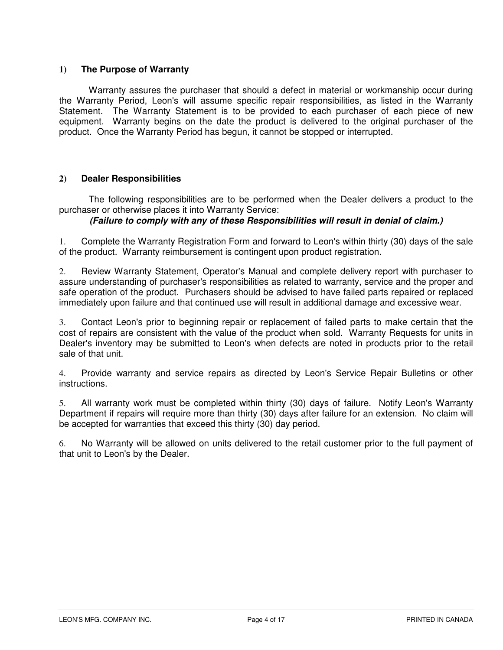#### **1) The Purpose of Warranty**

 Warranty assures the purchaser that should a defect in material or workmanship occur during the Warranty Period, Leon's will assume specific repair responsibilities, as listed in the Warranty Statement. The Warranty Statement is to be provided to each purchaser of each piece of new equipment. Warranty begins on the date the product is delivered to the original purchaser of the product. Once the Warranty Period has begun, it cannot be stopped or interrupted.

#### **2) Dealer Responsibilities**

 The following responsibilities are to be performed when the Dealer delivers a product to the purchaser or otherwise places it into Warranty Service:

#### **(Failure to comply with any of these Responsibilities will result in denial of claim.)**

1. Complete the Warranty Registration Form and forward to Leon's within thirty (30) days of the sale of the product. Warranty reimbursement is contingent upon product registration.

2. Review Warranty Statement, Operator's Manual and complete delivery report with purchaser to assure understanding of purchaser's responsibilities as related to warranty, service and the proper and safe operation of the product. Purchasers should be advised to have failed parts repaired or replaced immediately upon failure and that continued use will result in additional damage and excessive wear.

3. Contact Leon's prior to beginning repair or replacement of failed parts to make certain that the cost of repairs are consistent with the value of the product when sold. Warranty Requests for units in Dealer's inventory may be submitted to Leon's when defects are noted in products prior to the retail sale of that unit.

4. Provide warranty and service repairs as directed by Leon's Service Repair Bulletins or other instructions.

5. All warranty work must be completed within thirty (30) days of failure. Notify Leon's Warranty Department if repairs will require more than thirty (30) days after failure for an extension. No claim will be accepted for warranties that exceed this thirty (30) day period.

6. No Warranty will be allowed on units delivered to the retail customer prior to the full payment of that unit to Leon's by the Dealer.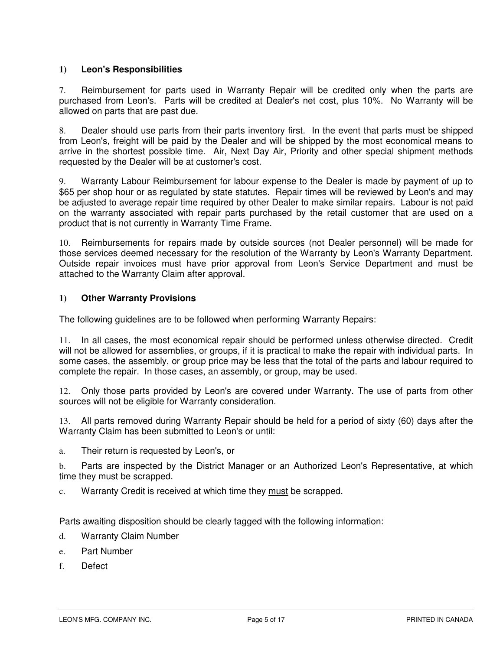#### **1) Leon's Responsibilities**

7. Reimbursement for parts used in Warranty Repair will be credited only when the parts are purchased from Leon's. Parts will be credited at Dealer's net cost, plus 10%. No Warranty will be allowed on parts that are past due.

8. Dealer should use parts from their parts inventory first. In the event that parts must be shipped from Leon's, freight will be paid by the Dealer and will be shipped by the most economical means to arrive in the shortest possible time. Air, Next Day Air, Priority and other special shipment methods requested by the Dealer will be at customer's cost.

9. Warranty Labour Reimbursement for labour expense to the Dealer is made by payment of up to \$65 per shop hour or as regulated by state statutes. Repair times will be reviewed by Leon's and may be adjusted to average repair time required by other Dealer to make similar repairs. Labour is not paid on the warranty associated with repair parts purchased by the retail customer that are used on a product that is not currently in Warranty Time Frame.

10. Reimbursements for repairs made by outside sources (not Dealer personnel) will be made for those services deemed necessary for the resolution of the Warranty by Leon's Warranty Department. Outside repair invoices must have prior approval from Leon's Service Department and must be attached to the Warranty Claim after approval.

#### **1) Other Warranty Provisions**

The following guidelines are to be followed when performing Warranty Repairs:

11. In all cases, the most economical repair should be performed unless otherwise directed. Credit will not be allowed for assemblies, or groups, if it is practical to make the repair with individual parts. In some cases, the assembly, or group price may be less that the total of the parts and labour required to complete the repair. In those cases, an assembly, or group, may be used.

12. Only those parts provided by Leon's are covered under Warranty. The use of parts from other sources will not be eligible for Warranty consideration.

13. All parts removed during Warranty Repair should be held for a period of sixty (60) days after the Warranty Claim has been submitted to Leon's or until:

a. Their return is requested by Leon's, or

b. Parts are inspected by the District Manager or an Authorized Leon's Representative, at which time they must be scrapped.

c. Warranty Credit is received at which time they must be scrapped.

Parts awaiting disposition should be clearly tagged with the following information:

- d. Warranty Claim Number
- e. Part Number
- f. Defect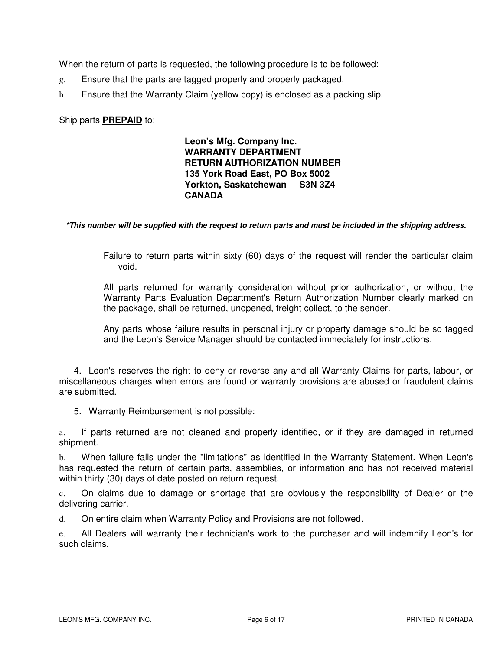When the return of parts is requested, the following procedure is to be followed:

- g. Ensure that the parts are tagged properly and properly packaged.
- h. Ensure that the Warranty Claim (yellow copy) is enclosed as a packing slip.

#### Ship parts **PREPAID** to:

#### **Leon's Mfg. Company Inc. WARRANTY DEPARTMENT RETURN AUTHORIZATION NUMBER 135 York Road East, PO Box 5002 Yorkton, Saskatchewan S3N 3Z4 CANADA**

#### **\*This number will be supplied with the request to return parts and must be included in the shipping address.**

Failure to return parts within sixty (60) days of the request will render the particular claim void.

All parts returned for warranty consideration without prior authorization, or without the Warranty Parts Evaluation Department's Return Authorization Number clearly marked on the package, shall be returned, unopened, freight collect, to the sender.

Any parts whose failure results in personal injury or property damage should be so tagged and the Leon's Service Manager should be contacted immediately for instructions.

 4. Leon's reserves the right to deny or reverse any and all Warranty Claims for parts, labour, or miscellaneous charges when errors are found or warranty provisions are abused or fraudulent claims are submitted.

5. Warranty Reimbursement is not possible:

a. If parts returned are not cleaned and properly identified, or if they are damaged in returned shipment.

b. When failure falls under the "limitations" as identified in the Warranty Statement. When Leon's has requested the return of certain parts, assemblies, or information and has not received material within thirty (30) days of date posted on return request.

c. On claims due to damage or shortage that are obviously the responsibility of Dealer or the delivering carrier.

d. On entire claim when Warranty Policy and Provisions are not followed.

e. All Dealers will warranty their technician's work to the purchaser and will indemnify Leon's for such claims.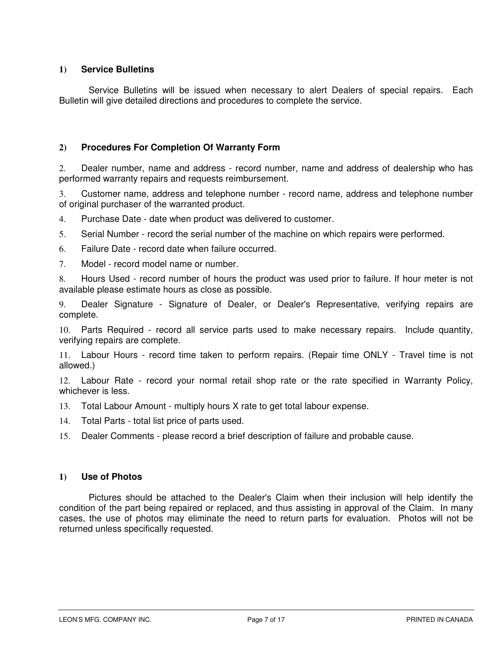#### **1) Service Bulletins**

 Service Bulletins will be issued when necessary to alert Dealers of special repairs. Each Bulletin will give detailed directions and procedures to complete the service.

#### **2) Procedures For Completion Of Warranty Form**

2. Dealer number, name and address - record number, name and address of dealership who has performed warranty repairs and requests reimbursement.

3. Customer name, address and telephone number - record name, address and telephone number of original purchaser of the warranted product.

4. Purchase Date - date when product was delivered to customer.

- 5. Serial Number record the serial number of the machine on which repairs were performed.
- 6. Failure Date record date when failure occurred.
- 7. Model record model name or number.

8. Hours Used - record number of hours the product was used prior to failure. If hour meter is not available please estimate hours as close as possible.

9. Dealer Signature - Signature of Dealer, or Dealer's Representative, verifying repairs are complete.

10. Parts Required - record all service parts used to make necessary repairs. Include quantity, verifying repairs are complete.

11. Labour Hours - record time taken to perform repairs. (Repair time ONLY - Travel time is not allowed.)

12. Labour Rate - record your normal retail shop rate or the rate specified in Warranty Policy, whichever is less.

- 13. Total Labour Amount multiply hours X rate to get total labour expense.
- 14. Total Parts total list price of parts used.
- 15. Dealer Comments please record a brief description of failure and probable cause.

#### **1) Use of Photos**

 Pictures should be attached to the Dealer's Claim when their inclusion will help identify the condition of the part being repaired or replaced, and thus assisting in approval of the Claim. In many cases, the use of photos may eliminate the need to return parts for evaluation. Photos will not be returned unless specifically requested.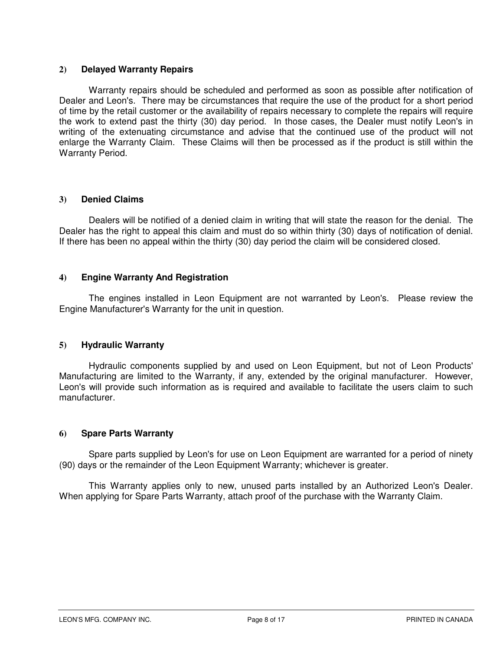#### **2) Delayed Warranty Repairs**

 Warranty repairs should be scheduled and performed as soon as possible after notification of Dealer and Leon's. There may be circumstances that require the use of the product for a short period of time by the retail customer or the availability of repairs necessary to complete the repairs will require the work to extend past the thirty (30) day period. In those cases, the Dealer must notify Leon's in writing of the extenuating circumstance and advise that the continued use of the product will not enlarge the Warranty Claim. These Claims will then be processed as if the product is still within the Warranty Period.

#### **3) Denied Claims**

 Dealers will be notified of a denied claim in writing that will state the reason for the denial. The Dealer has the right to appeal this claim and must do so within thirty (30) days of notification of denial. If there has been no appeal within the thirty (30) day period the claim will be considered closed.

#### **4) Engine Warranty And Registration**

 The engines installed in Leon Equipment are not warranted by Leon's. Please review the Engine Manufacturer's Warranty for the unit in question.

#### **5) Hydraulic Warranty**

 Hydraulic components supplied by and used on Leon Equipment, but not of Leon Products' Manufacturing are limited to the Warranty, if any, extended by the original manufacturer. However, Leon's will provide such information as is required and available to facilitate the users claim to such manufacturer.

#### **6) Spare Parts Warranty**

 Spare parts supplied by Leon's for use on Leon Equipment are warranted for a period of ninety (90) days or the remainder of the Leon Equipment Warranty; whichever is greater.

 This Warranty applies only to new, unused parts installed by an Authorized Leon's Dealer. When applying for Spare Parts Warranty, attach proof of the purchase with the Warranty Claim.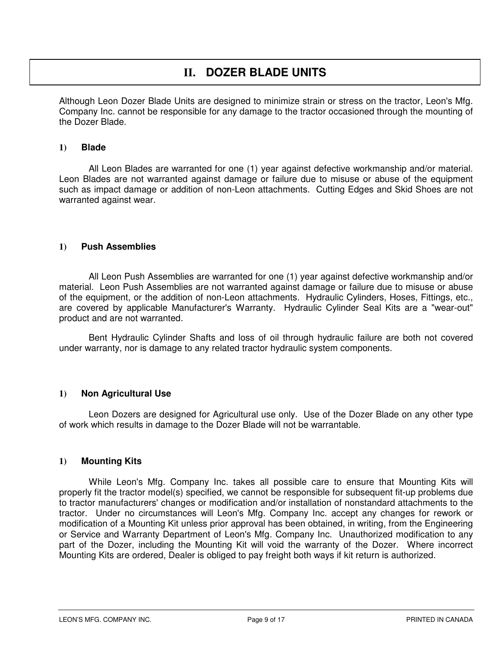## **II. DOZER BLADE UNITS**

Although Leon Dozer Blade Units are designed to minimize strain or stress on the tractor, Leon's Mfg. Company Inc. cannot be responsible for any damage to the tractor occasioned through the mounting of the Dozer Blade.

#### **1) Blade**

 All Leon Blades are warranted for one (1) year against defective workmanship and/or material. Leon Blades are not warranted against damage or failure due to misuse or abuse of the equipment such as impact damage or addition of non-Leon attachments. Cutting Edges and Skid Shoes are not warranted against wear.

#### **1) Push Assemblies**

 All Leon Push Assemblies are warranted for one (1) year against defective workmanship and/or material. Leon Push Assemblies are not warranted against damage or failure due to misuse or abuse of the equipment, or the addition of non-Leon attachments. Hydraulic Cylinders, Hoses, Fittings, etc., are covered by applicable Manufacturer's Warranty. Hydraulic Cylinder Seal Kits are a "wear-out" product and are not warranted.

 Bent Hydraulic Cylinder Shafts and loss of oil through hydraulic failure are both not covered under warranty, nor is damage to any related tractor hydraulic system components.

#### **1) Non Agricultural Use**

 Leon Dozers are designed for Agricultural use only. Use of the Dozer Blade on any other type of work which results in damage to the Dozer Blade will not be warrantable.

#### **1) Mounting Kits**

 While Leon's Mfg. Company Inc. takes all possible care to ensure that Mounting Kits will properly fit the tractor model(s) specified, we cannot be responsible for subsequent fit-up problems due to tractor manufacturers' changes or modification and/or installation of nonstandard attachments to the tractor. Under no circumstances will Leon's Mfg. Company Inc. accept any changes for rework or modification of a Mounting Kit unless prior approval has been obtained, in writing, from the Engineering or Service and Warranty Department of Leon's Mfg. Company Inc. Unauthorized modification to any part of the Dozer, including the Mounting Kit will void the warranty of the Dozer. Where incorrect Mounting Kits are ordered, Dealer is obliged to pay freight both ways if kit return is authorized.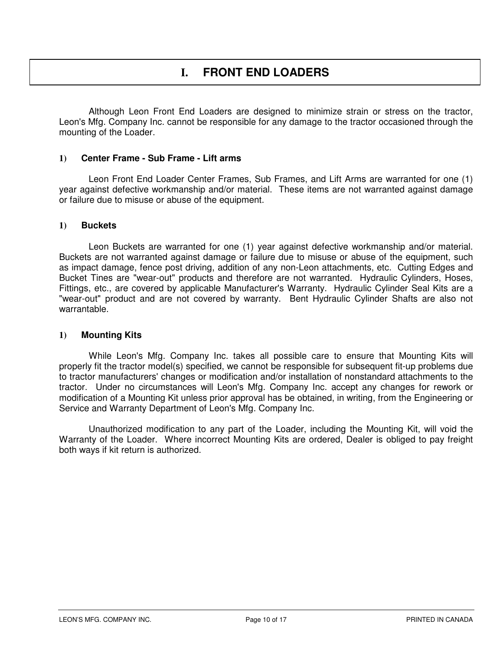## **I. FRONT END LOADERS**

 Although Leon Front End Loaders are designed to minimize strain or stress on the tractor, Leon's Mfg. Company Inc. cannot be responsible for any damage to the tractor occasioned through the mounting of the Loader.

#### **1) Center Frame - Sub Frame - Lift arms**

 Leon Front End Loader Center Frames, Sub Frames, and Lift Arms are warranted for one (1) year against defective workmanship and/or material. These items are not warranted against damage or failure due to misuse or abuse of the equipment.

#### **1) Buckets**

 Leon Buckets are warranted for one (1) year against defective workmanship and/or material. Buckets are not warranted against damage or failure due to misuse or abuse of the equipment, such as impact damage, fence post driving, addition of any non-Leon attachments, etc. Cutting Edges and Bucket Tines are "wear-out" products and therefore are not warranted. Hydraulic Cylinders, Hoses, Fittings, etc., are covered by applicable Manufacturer's Warranty. Hydraulic Cylinder Seal Kits are a "wear-out" product and are not covered by warranty. Bent Hydraulic Cylinder Shafts are also not warrantable.

#### **1) Mounting Kits**

 While Leon's Mfg. Company Inc. takes all possible care to ensure that Mounting Kits will properly fit the tractor model(s) specified, we cannot be responsible for subsequent fit-up problems due to tractor manufacturers' changes or modification and/or installation of nonstandard attachments to the tractor. Under no circumstances will Leon's Mfg. Company Inc. accept any changes for rework or modification of a Mounting Kit unless prior approval has be obtained, in writing, from the Engineering or Service and Warranty Department of Leon's Mfg. Company Inc.

 Unauthorized modification to any part of the Loader, including the Mounting Kit, will void the Warranty of the Loader. Where incorrect Mounting Kits are ordered, Dealer is obliged to pay freight both ways if kit return is authorized.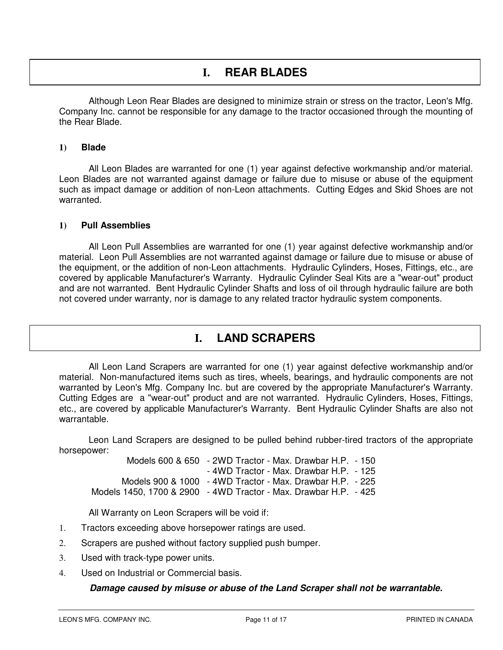## **I. REAR BLADES**

 Although Leon Rear Blades are designed to minimize strain or stress on the tractor, Leon's Mfg. Company Inc. cannot be responsible for any damage to the tractor occasioned through the mounting of the Rear Blade.

#### **1) Blade**

 All Leon Blades are warranted for one (1) year against defective workmanship and/or material. Leon Blades are not warranted against damage or failure due to misuse or abuse of the equipment such as impact damage or addition of non-Leon attachments. Cutting Edges and Skid Shoes are not warranted.

#### **1) Pull Assemblies**

 All Leon Pull Assemblies are warranted for one (1) year against defective workmanship and/or material. Leon Pull Assemblies are not warranted against damage or failure due to misuse or abuse of the equipment, or the addition of non-Leon attachments. Hydraulic Cylinders, Hoses, Fittings, etc., are covered by applicable Manufacturer's Warranty. Hydraulic Cylinder Seal Kits are a "wear-out" product and are not warranted. Bent Hydraulic Cylinder Shafts and loss of oil through hydraulic failure are both not covered under warranty, nor is damage to any related tractor hydraulic system components.

## **I. LAND SCRAPERS**

 All Leon Land Scrapers are warranted for one (1) year against defective workmanship and/or material. Non-manufactured items such as tires, wheels, bearings, and hydraulic components are not warranted by Leon's Mfg. Company Inc. but are covered by the appropriate Manufacturer's Warranty. Cutting Edges are a "wear-out" product and are not warranted. Hydraulic Cylinders, Hoses, Fittings, etc., are covered by applicable Manufacturer's Warranty. Bent Hydraulic Cylinder Shafts are also not warrantable.

 Leon Land Scrapers are designed to be pulled behind rubber-tired tractors of the appropriate horsepower:

 Models 600 & 650 - 2WD Tractor - Max. Drawbar H.P. - 150 - 4WD Tractor - Max. Drawbar H.P. - 125 Models 900 & 1000 - 4WD Tractor - Max. Drawbar H.P. - 225 Models 1450, 1700 & 2900 - 4WD Tractor - Max. Drawbar H.P. - 425

All Warranty on Leon Scrapers will be void if:

- 1. Tractors exceeding above horsepower ratings are used.
- 2. Scrapers are pushed without factory supplied push bumper.
- 3. Used with track-type power units.
- 4. Used on Industrial or Commercial basis.

#### **Damage caused by misuse or abuse of the Land Scraper shall not be warrantable.**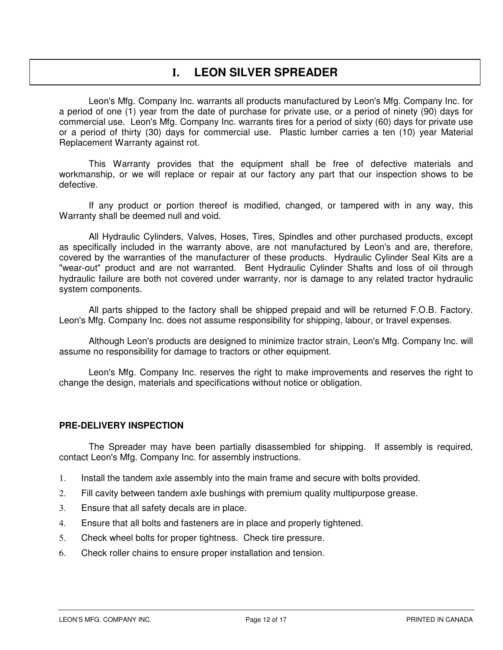## **I. LEON SILVER SPREADER**

 Leon's Mfg. Company Inc. warrants all products manufactured by Leon's Mfg. Company Inc. for a period of one (1) year from the date of purchase for private use, or a period of ninety (90) days for commercial use. Leon's Mfg. Company Inc. warrants tires for a period of sixty (60) days for private use or a period of thirty (30) days for commercial use. Plastic lumber carries a ten (10) year Material Replacement Warranty against rot.

 This Warranty provides that the equipment shall be free of defective materials and workmanship, or we will replace or repair at our factory any part that our inspection shows to be defective.

 If any product or portion thereof is modified, changed, or tampered with in any way, this Warranty shall be deemed null and void.

 All Hydraulic Cylinders, Valves, Hoses, Tires, Spindles and other purchased products, except as specifically included in the warranty above, are not manufactured by Leon's and are, therefore, covered by the warranties of the manufacturer of these products. Hydraulic Cylinder Seal Kits are a "wear-out" product and are not warranted. Bent Hydraulic Cylinder Shafts and loss of oil through hydraulic failure are both not covered under warranty, nor is damage to any related tractor hydraulic system components.

 All parts shipped to the factory shall be shipped prepaid and will be returned F.O.B. Factory. Leon's Mfg. Company Inc. does not assume responsibility for shipping, labour, or travel expenses.

 Although Leon's products are designed to minimize tractor strain, Leon's Mfg. Company Inc. will assume no responsibility for damage to tractors or other equipment.

 Leon's Mfg. Company Inc. reserves the right to make improvements and reserves the right to change the design, materials and specifications without notice or obligation.

#### **PRE-DELIVERY INSPECTION**

 The Spreader may have been partially disassembled for shipping. If assembly is required, contact Leon's Mfg. Company Inc. for assembly instructions.

- 1. Install the tandem axle assembly into the main frame and secure with bolts provided.
- 2. Fill cavity between tandem axle bushings with premium quality multipurpose grease.
- 3. Ensure that all safety decals are in place.
- 4. Ensure that all bolts and fasteners are in place and properly tightened.
- 5. Check wheel bolts for proper tightness. Check tire pressure.
- 6. Check roller chains to ensure proper installation and tension.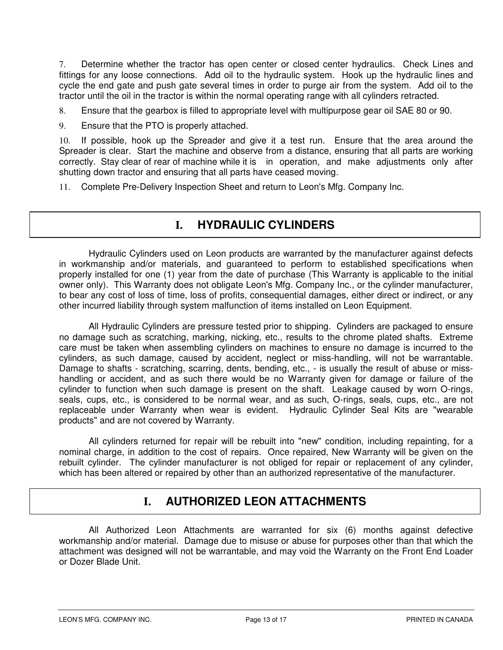7. Determine whether the tractor has open center or closed center hydraulics. Check Lines and fittings for any loose connections. Add oil to the hydraulic system. Hook up the hydraulic lines and cycle the end gate and push gate several times in order to purge air from the system. Add oil to the tractor until the oil in the tractor is within the normal operating range with all cylinders retracted.

8. Ensure that the gearbox is filled to appropriate level with multipurpose gear oil SAE 80 or 90.

9. Ensure that the PTO is properly attached.

10. If possible, hook up the Spreader and give it a test run. Ensure that the area around the Spreader is clear. Start the machine and observe from a distance, ensuring that all parts are working correctly. Stay clear of rear of machine while it is in operation, and make adjustments only after shutting down tractor and ensuring that all parts have ceased moving.

11. Complete Pre-Delivery Inspection Sheet and return to Leon's Mfg. Company Inc.

## **I. HYDRAULIC CYLINDERS**

 Hydraulic Cylinders used on Leon products are warranted by the manufacturer against defects in workmanship and/or materials, and guaranteed to perform to established specifications when properly installed for one (1) year from the date of purchase (This Warranty is applicable to the initial owner only). This Warranty does not obligate Leon's Mfg. Company Inc., or the cylinder manufacturer, to bear any cost of loss of time, loss of profits, consequential damages, either direct or indirect, or any other incurred liability through system malfunction of items installed on Leon Equipment.

 All Hydraulic Cylinders are pressure tested prior to shipping. Cylinders are packaged to ensure no damage such as scratching, marking, nicking, etc., results to the chrome plated shafts. Extreme care must be taken when assembling cylinders on machines to ensure no damage is incurred to the cylinders, as such damage, caused by accident, neglect or miss-handling, will not be warrantable. Damage to shafts - scratching, scarring, dents, bending, etc., - is usually the result of abuse or misshandling or accident, and as such there would be no Warranty given for damage or failure of the cylinder to function when such damage is present on the shaft. Leakage caused by worn O-rings, seals, cups, etc., is considered to be normal wear, and as such, O-rings, seals, cups, etc., are not replaceable under Warranty when wear is evident. Hydraulic Cylinder Seal Kits are "wearable products" and are not covered by Warranty.

 All cylinders returned for repair will be rebuilt into "new" condition, including repainting, for a nominal charge, in addition to the cost of repairs. Once repaired, New Warranty will be given on the rebuilt cylinder. The cylinder manufacturer is not obliged for repair or replacement of any cylinder, which has been altered or repaired by other than an authorized representative of the manufacturer.

## **I. AUTHORIZED LEON ATTACHMENTS**

 All Authorized Leon Attachments are warranted for six (6) months against defective workmanship and/or material. Damage due to misuse or abuse for purposes other than that which the attachment was designed will not be warrantable, and may void the Warranty on the Front End Loader or Dozer Blade Unit.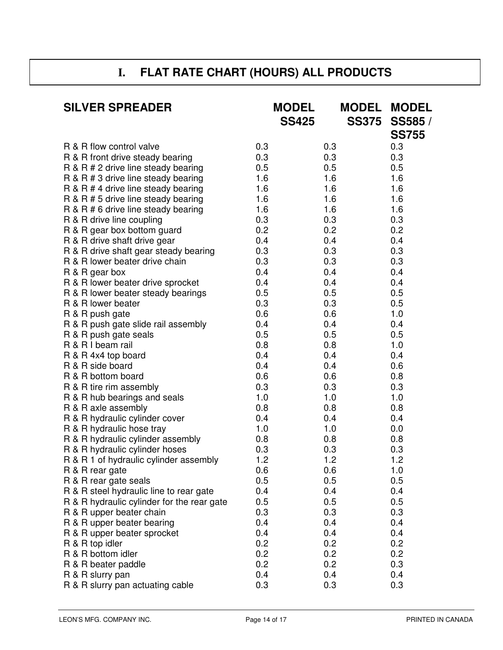## **I. FLAT RATE CHART (HOURS) ALL PRODUCTS**

| <b>SILVER SPREADER</b>                     | <b>MODEL</b><br><b>SS425</b> | <b>SS375</b> | <b>MODEL MODEL</b><br><b>SS585/</b><br><b>SS755</b> |
|--------------------------------------------|------------------------------|--------------|-----------------------------------------------------|
| R & R flow control valve                   | 0.3                          | 0.3          | 0.3                                                 |
| R & R front drive steady bearing           | 0.3                          | 0.3          | 0.3                                                 |
| R & R # 2 drive line steady bearing        | 0.5                          | 0.5          | 0.5                                                 |
| R & R # 3 drive line steady bearing        | 1.6                          | 1.6          | 1.6                                                 |
| R & R # 4 drive line steady bearing        | 1.6                          | 1.6          | 1.6                                                 |
| R & R # 5 drive line steady bearing        | 1.6                          | 1.6          | 1.6                                                 |
| R & R # 6 drive line steady bearing        | 1.6                          | 1.6          | 1.6                                                 |
| R & R drive line coupling                  | 0.3                          | 0.3          | 0.3                                                 |
| R & R gear box bottom guard                | 0.2                          | 0.2          | 0.2                                                 |
| R & R drive shaft drive gear               | 0.4                          | 0.4          | 0.4                                                 |
| R & R drive shaft gear steady bearing      | 0.3                          | 0.3          | 0.3                                                 |
| R & R lower beater drive chain             | 0.3                          | 0.3          | 0.3                                                 |
| R & R gear box                             | 0.4                          | 0.4          | 0.4                                                 |
| R & R lower beater drive sprocket          | 0.4                          | 0.4          | 0.4                                                 |
| R & R lower beater steady bearings         | 0.5                          | 0.5          | 0.5                                                 |
| R & R lower beater                         | 0.3                          | 0.3          | 0.5                                                 |
| R & R push gate                            | 0.6                          | 0.6          | 1.0                                                 |
| R & R push gate slide rail assembly        | 0.4                          | 0.4          | 0.4                                                 |
| R & R push gate seals                      | 0.5                          | 0.5          | 0.5                                                 |
| R & R I beam rail                          | 0.8                          | 0.8          | 1.0                                                 |
| R & R 4x4 top board                        | 0.4                          | 0.4          | 0.4                                                 |
| R & R side board                           | 0.4                          | 0.4          | 0.6                                                 |
| R & R bottom board                         | 0.6                          | 0.6          | 0.8                                                 |
| R & R tire rim assembly                    | 0.3                          | 0.3          | 0.3                                                 |
| R & R hub bearings and seals               | 1.0                          | 1.0          | 1.0                                                 |
| R & R axle assembly                        | 0.8                          | 0.8          | 0.8                                                 |
| R & R hydraulic cylinder cover             | 0.4                          | 0.4          | 0.4                                                 |
| R & R hydraulic hose tray                  | 1.0                          | 1.0          | 0.0                                                 |
| R & R hydraulic cylinder assembly          | 0.8                          | 0.8          | 0.8                                                 |
| R & R hydraulic cylinder hoses             | 0.3                          | 0.3          | 0.3                                                 |
| R & R 1 of hydraulic cylinder assembly     | 1.2                          | 1.2          | 1.2                                                 |
| R & R rear gate                            | 0.6                          | 0.6          | 1.0                                                 |
| R & R rear gate seals                      | 0.5                          | 0.5          | 0.5                                                 |
| R & R steel hydraulic line to rear gate    | 0.4                          | 0.4          | 0.4                                                 |
| R & R hydraulic cylinder for the rear gate | 0.5                          | 0.5          | 0.5                                                 |
| R & R upper beater chain                   | 0.3                          | 0.3          | 0.3                                                 |
| R & R upper beater bearing                 | 0.4                          | 0.4          | 0.4                                                 |
| R & R upper beater sprocket                | 0.4                          | 0.4          | 0.4                                                 |
| R & R top idler                            | 0.2                          | 0.2          | 0.2                                                 |
| R & R bottom idler                         | 0.2                          | 0.2          | 0.2                                                 |
| R & R beater paddle                        | 0.2                          | 0.2          | 0.3                                                 |
| R & R slurry pan                           | 0.4                          | 0.4          | 0.4                                                 |
| R & R slurry pan actuating cable           | 0.3                          | 0.3          | 0.3                                                 |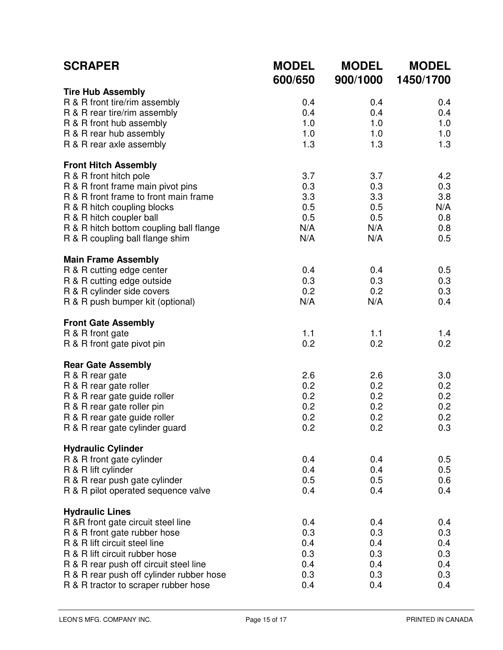| <b>SCRAPER</b>                                                             | <b>MODEL</b><br>600/650 | <b>MODEL</b><br>900/1000 | <b>MODEL</b><br>1450/1700 |
|----------------------------------------------------------------------------|-------------------------|--------------------------|---------------------------|
| <b>Tire Hub Assembly</b>                                                   |                         |                          |                           |
| R & R front tire/rim assembly                                              | 0.4                     | 0.4                      | 0.4                       |
| R & R rear tire/rim assembly                                               | 0.4                     | 0.4                      | 0.4                       |
| R & R front hub assembly<br>R & R rear hub assembly                        | 1.0<br>1.0              | 1.0<br>1.0               | 1.0<br>1.0                |
| R & R rear axle assembly                                                   | 1.3                     | 1.3                      | 1.3                       |
| <b>Front Hitch Assembly</b>                                                |                         |                          |                           |
| R & R front hitch pole                                                     | 3.7<br>0.3              | 3.7<br>0.3               | 4.2                       |
| R & R front frame main pivot pins<br>R & R front frame to front main frame | 3.3                     | 3.3                      | 0.3<br>3.8                |
| R & R hitch coupling blocks                                                | 0.5                     | 0.5                      | N/A                       |
| R & R hitch coupler ball                                                   | 0.5                     | 0.5                      | 0.8                       |
| R & R hitch bottom coupling ball flange                                    | N/A                     | N/A                      | 0.8                       |
| R & R coupling ball flange shim                                            | N/A                     | N/A                      | 0.5                       |
| <b>Main Frame Assembly</b>                                                 |                         |                          |                           |
| R & R cutting edge center<br>R & R cutting edge outside                    | 0.4<br>0.3              | 0.4<br>0.3               | 0.5<br>0.3                |
| R & R cylinder side covers                                                 | 0.2                     | 0.2                      | 0.3                       |
| R & R push bumper kit (optional)                                           | N/A                     | N/A                      | 0.4                       |
| <b>Front Gate Assembly</b>                                                 |                         |                          |                           |
| R & R front gate                                                           | 1.1                     | 1.1                      | 1.4                       |
| R & R front gate pivot pin                                                 | 0.2                     | 0.2                      | 0.2                       |
| <b>Rear Gate Assembly</b>                                                  | 2.6                     | 2.6                      |                           |
| R & R rear gate<br>R & R rear gate roller                                  | 0.2                     | 0.2                      | 3.0<br>0.2                |
| R & R rear gate guide roller                                               | 0.2                     | 0.2                      | 0.2                       |
| R & R rear gate roller pin                                                 | 0.2                     | 0.2                      | 0.2                       |
| R & R rear gate guide roller                                               | 0.2                     | 0.2                      | 0.2                       |
| R & R rear gate cylinder guard                                             | 0.2                     | 0.2                      | 0.3                       |
| <b>Hydraulic Cylinder</b>                                                  |                         |                          |                           |
| R & R front gate cylinder<br>R & R lift cylinder                           | 0.4<br>0.4              | 0.4<br>0.4               | 0.5<br>0.5                |
| R & R rear push gate cylinder                                              | 0.5                     | 0.5                      | 0.6                       |
| R & R pilot operated sequence valve                                        | 0.4                     | 0.4                      | 0.4                       |
| <b>Hydraulic Lines</b>                                                     |                         |                          |                           |
| R &R front gate circuit steel line                                         | 0.4                     | 0.4                      | 0.4                       |
| R & R front gate rubber hose                                               | 0.3                     | 0.3                      | 0.3                       |
| R & R lift circuit steel line                                              | 0.4                     | 0.4                      | 0.4                       |
| R & R lift circuit rubber hose<br>R & R rear push off circuit steel line   | 0.3<br>0.4              | 0.3<br>0.4               | 0.3<br>0.4                |
| R & R rear push off cylinder rubber hose                                   | 0.3                     | 0.3                      | 0.3                       |
| R & R tractor to scraper rubber hose                                       | 0.4                     | 0.4                      | 0.4                       |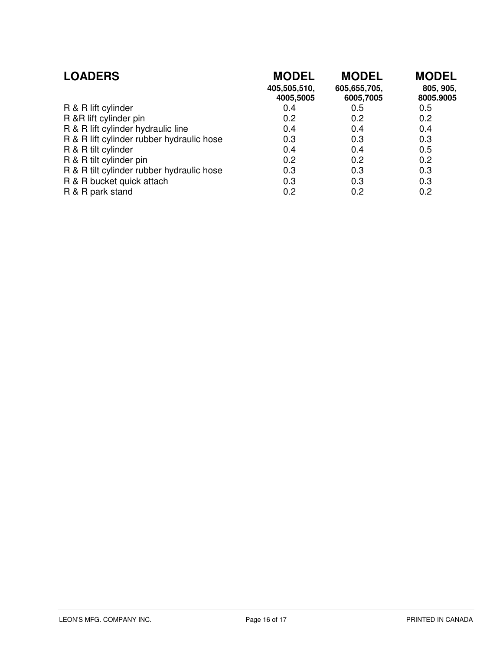| <b>LOADERS</b>                            | <b>MODEL</b><br>405,505,510,<br>4005,5005 | <b>MODEL</b><br>605,655,705,<br>6005,7005 | <b>MODEL</b><br>805, 905,<br>8005.9005 |
|-------------------------------------------|-------------------------------------------|-------------------------------------------|----------------------------------------|
| R & R lift cylinder                       | 0.4                                       | 0.5                                       | 0.5                                    |
| R &R lift cylinder pin                    | 0.2                                       | 0.2                                       | 0.2                                    |
| R & R lift cylinder hydraulic line        | 0.4                                       | 0.4                                       | 0.4                                    |
| R & R lift cylinder rubber hydraulic hose | 0.3                                       | 0.3                                       | 0.3                                    |
| R & R tilt cylinder                       | 0.4                                       | 0.4                                       | 0.5                                    |
| R & R tilt cylinder pin                   | 0.2                                       | 0.2                                       | 0.2                                    |
| R & R tilt cylinder rubber hydraulic hose | 0.3                                       | 0.3                                       | 0.3                                    |
| R & R bucket quick attach                 | 0.3                                       | 0.3                                       | 0.3                                    |
| R & R park stand                          | 0.2                                       | 0.2                                       | 0.2                                    |